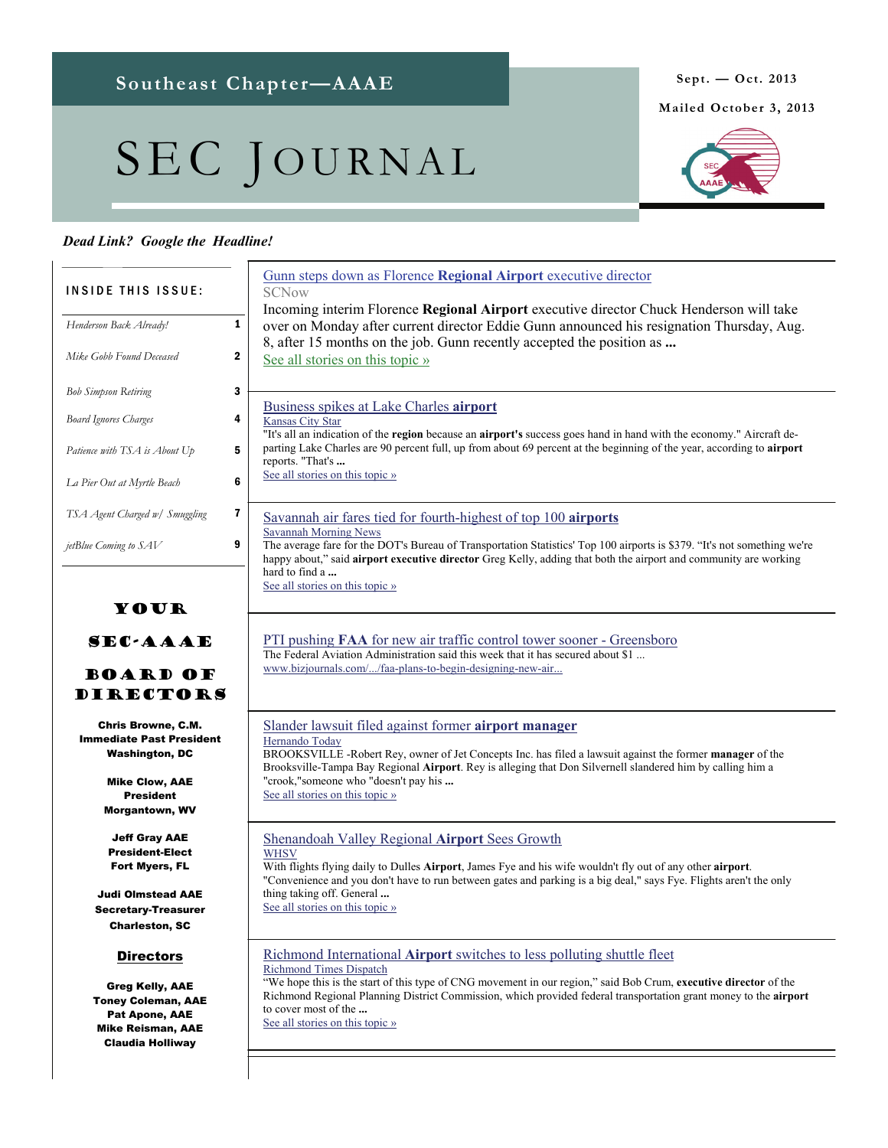# SEC JOURNAL

# *Dead Link? Google the Headline!*

|                                                                                                                                                             | Gunn steps down as Florence Regional Airport executive director                                                                                                                                                                                                                                                                                                                                              |
|-------------------------------------------------------------------------------------------------------------------------------------------------------------|--------------------------------------------------------------------------------------------------------------------------------------------------------------------------------------------------------------------------------------------------------------------------------------------------------------------------------------------------------------------------------------------------------------|
| <b>INSIDE THIS ISSUE:</b>                                                                                                                                   | <b>SCNow</b>                                                                                                                                                                                                                                                                                                                                                                                                 |
| Henderson Back Already!                                                                                                                                     | Incoming interim Florence Regional Airport executive director Chuck Henderson will take<br>1<br>over on Monday after current director Eddie Gunn announced his resignation Thursday, Aug.<br>8, after 15 months on the job. Gunn recently accepted the position as                                                                                                                                           |
| Mike Gobb Found Deceased                                                                                                                                    | 2<br>See all stories on this topic »                                                                                                                                                                                                                                                                                                                                                                         |
| <b>Bob Simpson Retiring</b>                                                                                                                                 | 3                                                                                                                                                                                                                                                                                                                                                                                                            |
| <b>Board Ignores Charges</b>                                                                                                                                | Business spikes at Lake Charles airport<br>4<br>Kansas City Star<br>"It's all an indication of the region because an airport's success goes hand in hand with the economy." Aircraft de-                                                                                                                                                                                                                     |
| Patience with TSA is About Up                                                                                                                               | parting Lake Charles are 90 percent full, up from about 69 percent at the beginning of the year, according to airport<br>5<br>reports. "That's                                                                                                                                                                                                                                                               |
| La Pier Out at Myrtle Beach                                                                                                                                 | See all stories on this topic »<br>6                                                                                                                                                                                                                                                                                                                                                                         |
| TSA Agent Charged w/ Smuggling                                                                                                                              | 7<br>Savannah air fares tied for fourth-highest of top 100 airports<br><b>Savannah Morning News</b>                                                                                                                                                                                                                                                                                                          |
| jetBlue Coming to SAV<br>YOUR                                                                                                                               | 9<br>The average fare for the DOT's Bureau of Transportation Statistics' Top 100 airports is \$379. "It's not something we're<br>happy about," said airport executive director Greg Kelly, adding that both the airport and community are working<br>hard to find a<br>See all stories on this topic »                                                                                                       |
| <b>SEC-AAAE</b><br><b>BOARD OF</b><br><b>DIRECTORS</b>                                                                                                      | <b>PTI</b> pushing <b>FAA</b> for new air traffic control tower sooner - Greensboro<br>The Federal Aviation Administration said this week that it has secured about \$1<br>www.bizjournals.com//faa-plans-to-begin-designing-new-air                                                                                                                                                                         |
| <b>Chris Browne, C.M.</b><br><b>Immediate Past President</b><br><b>Washington, DC</b><br><b>Mike Clow, AAE</b><br><b>President</b><br><b>Morgantown, WV</b> | Slander lawsuit filed against former airport manager<br>Hernando Today<br>BROOKSVILLE -Robert Rey, owner of Jet Concepts Inc. has filed a lawsuit against the former manager of the<br>Brooksville-Tampa Bay Regional Airport. Rey is alleging that Don Silvernell slandered him by calling him a<br>"crook,"someone who "doesn't pay his<br>See all stories on this topic »                                 |
| <b>Jeff Gray AAE</b><br><b>President-Elect</b><br><b>Fort Myers, FL</b><br><b>Judi Olmstead AAE</b><br><b>Secretary-Treasurer</b><br><b>Charleston, SC</b>  | Shenandoah Valley Regional Airport Sees Growth<br><b>WHSV</b><br>With flights flying daily to Dulles Airport, James Fye and his wife wouldn't fly out of any other airport.<br>"Convenience and you don't have to run between gates and parking is a big deal," says Fye. Flights aren't the only<br>thing taking off. General<br>See all stories on this topic »                                            |
| <b>Directors</b><br><b>Greg Kelly, AAE</b><br><b>Toney Coleman, AAE</b><br>Pat Apone, AAE<br><b>Mike Reisman, AAE</b><br><b>Claudia Holliway</b>            | Richmond International Airport switches to less polluting shuttle fleet<br><b>Richmond Times Dispatch</b><br>"We hope this is the start of this type of CNG movement in our region," said Bob Crum, executive director of the<br>Richmond Regional Planning District Commission, which provided federal transportation grant money to the airport<br>to cover most of the<br>See all stories on this topic » |
|                                                                                                                                                             |                                                                                                                                                                                                                                                                                                                                                                                                              |



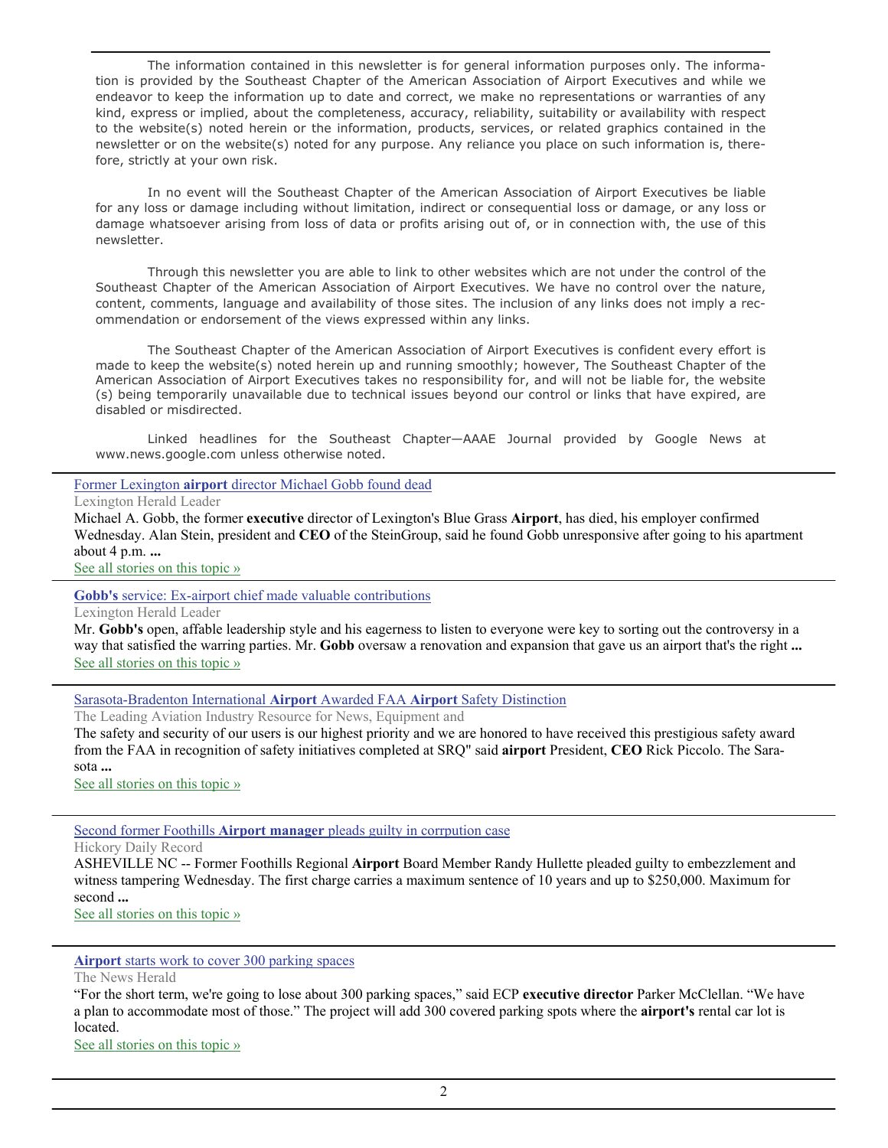The information contained in this newsletter is for general information purposes only. The information is provided by the Southeast Chapter of the American Association of Airport Executives and while we endeavor to keep the information up to date and correct, we make no representations or warranties of any kind, express or implied, about the completeness, accuracy, reliability, suitability or availability with respect to the website(s) noted herein or the information, products, services, or related graphics contained in the newsletter or on the website(s) noted for any purpose. Any reliance you place on such information is, therefore, strictly at your own risk.

 In no event will the Southeast Chapter of the American Association of Airport Executives be liable for any loss or damage including without limitation, indirect or consequential loss or damage, or any loss or damage whatsoever arising from loss of data or profits arising out of, or in connection with, the use of this newsletter.

 Through this newsletter you are able to link to other websites which are not under the control of the Southeast Chapter of the American Association of Airport Executives. We have no control over the nature, content, comments, language and availability of those sites. The inclusion of any links does not imply a recommendation or endorsement of the views expressed within any links.

 The Southeast Chapter of the American Association of Airport Executives is confident every effort is made to keep the website(s) noted herein up and running smoothly; however, The Southeast Chapter of the American Association of Airport Executives takes no responsibility for, and will not be liable for, the website (s) being temporarily unavailable due to technical issues beyond our control or links that have expired, are disabled or misdirected.

 Linked headlines for the Southeast Chapter—AAAE Journal provided by Google News at www.news.google.com unless otherwise noted.

Former Lexington **airport** [director Michael Gobb found dead](http://www.google.com/url?sa=X&q=http://www.kentucky.com/2013/09/11/2817046/former-lexington-airport-director.html&ct=ga&cad=CAEQAhgAIAAoATABOAFA7NTEkQVIAVAAWABiAmVu&cd=1Z8DUhw1l5Q&usg=AFQjCNFcqq05bGkt2zZiTi-aAulqGDalZQ)

Lexington Herald Leader

Michael A. Gobb, the former **executive** director of Lexington's Blue Grass **Airport**, has died, his employer confirmed Wednesday. Alan Stein, president and **CEO** of the SteinGroup, said he found Gobb unresponsive after going to his apartment about 4 p.m. **...**

[See all stories on this topic »](http://www.google.com/url?sa=X&q=http://news.google.com/news/story%3Fncl%3Dhttp://www.kentucky.com/2013/09/11/2817046/former-lexington-airport-director.html%26hl%3Den%26geo%3Dus&ct=ga&cad=CAEQAhgAIAAoBjABOAFA7NTEkQVIAVAAWABiAmVu&cd=1Z8DUhw1l5Q&usg=AFQjCNEgNyrErDyY3dT7xkr5kNNUtfllgw)

**Gobb's** [service: Ex-airport chief made valuable contributions](http://www.google.com/url?sa=X&q=http://www.kentucky.com/2013/09/18/2828117/gobbs-service-ex-airport-chief.html&ct=ga&cad=CAEQAhgAIAAoATAAOABAkOTmkQVIAVAAWABiBWVuLVVT&cd=uSdpbqrfZTc&usg=AFQjCNFOB9ygsC0IwFOwBp3lDH8yxAARNw)

Lexington Herald Leader

Mr. **Gobb's** open, affable leadership style and his eagerness to listen to everyone were key to sorting out the controversy in a way that satisfied the warring parties. Mr. **Gobb** oversaw a renovation and expansion that gave us an airport that's the right **...** [See all stories on this topic »](http://www.google.com/url?sa=X&q=http://news.google.com/news/story%3Fncl%3Dhttp://www.kentucky.com/2013/09/18/2828117/gobbs-service-ex-airport-chief.html%26hl%3Den%26geo%3Dus&ct=ga&cad=CAEQAhgAIAAoBjAAOABAkOTmkQVIAVAAWABiBWVuLVVT&cd=uSdpbqrfZTc&usg=AFQjCNEprx7_yKdgOGRymroMh6N9t9SvxQ)

[Sarasota-Bradenton International](http://www.google.com/url?sa=X&q=http://www.aviationpros.com/news/11121570/faa-awards-sarasota-bradenton-international-airport-with-airport-safety-mark-of-distinction&ct=ga&cad=CAEQAhgAIAAoATADOANA7ZjbkAVIAVAAWABiAmVu&cd=n_R_DkczMWo&usg=AFQjCNGsWxWGjQXR8htJimTC2p9Yt5YVAg) **Airport** Awarded FAA **Airport** Safety Distinction

The Leading Aviation Industry Resource for News, Equipment and

The safety and security of our users is our highest priority and we are honored to have received this prestigious safety award from the FAA in recognition of safety initiatives completed at SRQ" said **airport** President, **CEO** Rick Piccolo. The Sarasota **...**

[See all stories on this topic »](http://www.google.com/url?sa=X&q=http://news.google.com/news/story%3Fncl%3Dhttp://www.aviationpros.com/news/11121570/faa-awards-sarasota-bradenton-international-airport-with-airport-safety-mark-of-distinction%26hl%3Den%26geo%3Dus&ct=ga&cad=CAEQAhgAIAAoBjADOANA7ZjbkAVIAVAAWABiAmVu&cd=n_R_DkczMWo&usg=AFQjCNFTLMTcRubN0eHssDekczcQLu4Eyw)

Second former Foothills **Airport manager** [pleads guilty in corrpution case](http://www.google.com/url?sa=X&q=http://www.hickoryrecord.com/news/article_e98b7f38-0a93-11e3-bdb7-0019bb30f31a.html&ct=ga&cad=CAEQAhgAIAAoATAAOABAwPTUkAVIAVAAWABiAmVu&cd=34J7XcJlDrM&usg=AFQjCNGqf8GyoqkBMK9BNfFcmSxDQaPh7A)

Hickory Daily Record

ASHEVILLE NC -- Former Foothills Regional **Airport** Board Member Randy Hullette pleaded guilty to embezzlement and witness tampering Wednesday. The first charge carries a maximum sentence of 10 years and up to \$250,000. Maximum for second **...**

[See all stories on this topic »](http://www.google.com/url?sa=X&q=http://news.google.com/news/story%3Fncl%3Dhttp://www.hickoryrecord.com/news/article_e98b7f38-0a93-11e3-bdb7-0019bb30f31a.html%26hl%3Den%26geo%3Dus&ct=ga&cad=CAEQAhgAIAAoBjAAOABAwPTUkAVIAVAAWABiAmVu&cd=34J7XcJlDrM&usg=AFQjCNH5VMFUviSFKE23Ho1linFWbn1JIA)

## **Airport** [starts work to cover 300 parking spaces](http://www.google.com/url?sa=X&q=http://www.newsherald.com/news/business/airport-starts-work-to-cover-300-parking-spaces-1.191329&ct=ga&cad=CAEQAhgAIAAoATACOAJAgKLekAVIAVAAWABiAmVu&cd=LQiwxuanRVY&usg=AFQjCNFxiuvtuJos0sYRxLF0mM5xpPG8YQ)

The News Herald

"For the short term, we're going to lose about 300 parking spaces," said ECP **executive director** Parker McClellan. "We have a plan to accommodate most of those." The project will add 300 covered parking spots where the **airport's** rental car lot is located.

[See all stories on this topic »](http://www.google.com/url?sa=X&q=http://news.google.com/news/story%3Fncl%3Dhttp://www.newsherald.com/news/business/airport-starts-work-to-cover-300-parking-spaces-1.191329%26hl%3Den%26geo%3Dus&ct=ga&cad=CAEQAhgAIAAoBjACOAJAgKLekAVIAVAAWABiAmVu&cd=LQiwxuanRVY&usg=AFQjCNGXRn9om3i4z0-G2TsLRzezyQBwFg)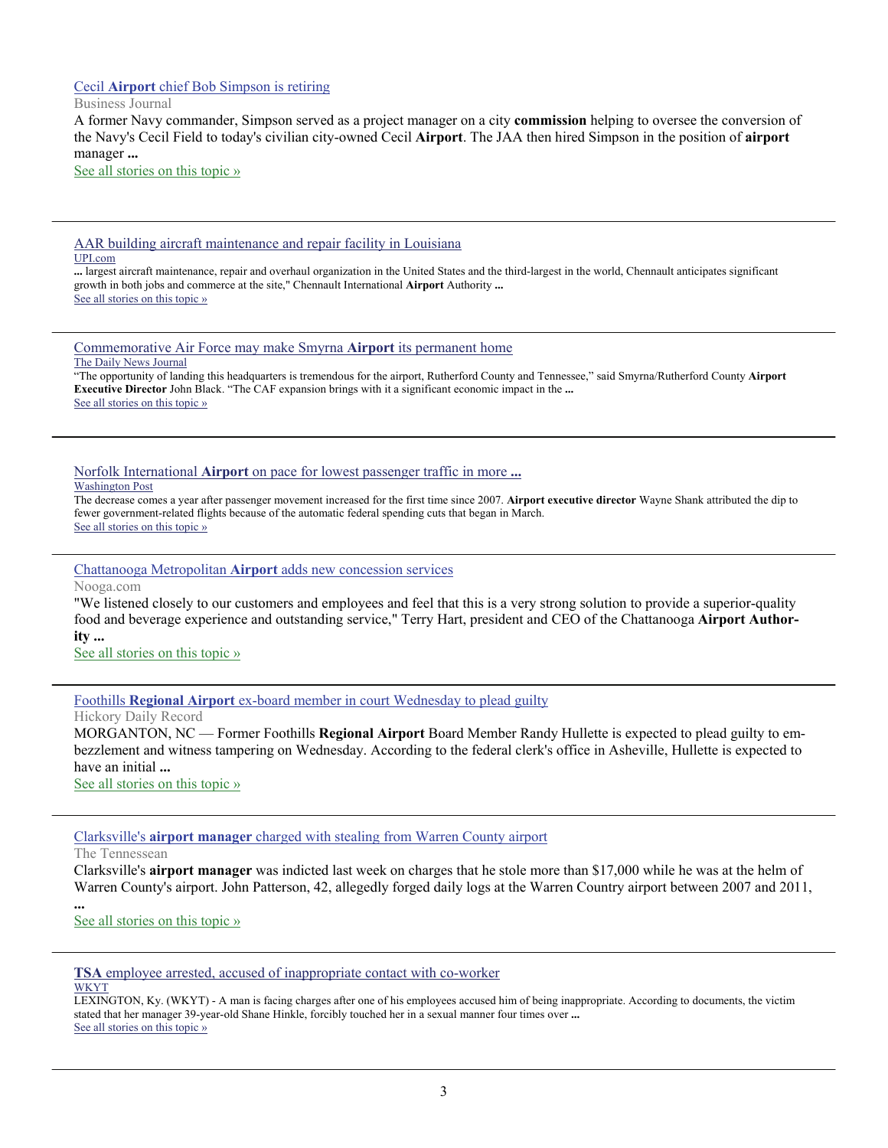# Cecil **Airport** [chief Bob Simpson is retiring](http://www.google.com/url?sa=X&q=http://www.bizjournals.com/jacksonville/news/2013/08/23/cecil-airport-chief-bob-simpson-is.html&ct=ga&cad=CAEQAhgAIAAoATAFOAVAl9HhkAVIAVAAWABiAmVu&cd=A7Qs9ogpiEQ&usg=AFQjCNH3QQcftfu8FU-zV1BqlPN26lRtEg)

Business Journal

A former Navy commander, Simpson served as a project manager on a city **commission** helping to oversee the conversion of the Navy's Cecil Field to today's civilian city-owned Cecil **Airport**. The JAA then hired Simpson in the position of **airport** manager **...**

[See all stories on this topic »](http://www.google.com/url?sa=X&q=http://news.google.com/news/story%3Fncl%3Dhttp://www.bizjournals.com/jacksonville/news/2013/08/23/cecil-airport-chief-bob-simpson-is.html%26hl%3Den%26geo%3Dus&ct=ga&cad=CAEQAhgAIAAoBjAFOAVAl9HhkAVIAVAAWABiAmVu&cd=A7Qs9ogpiEQ&usg=AFQjCNGJHZp7r0UmKyqQDnjcUZtZe56HPw)

[AAR building aircraft maintenance and repair facility in Louisiana](http://www.google.com/url?sa=X&q=http://www.upi.com/Business_News/Security-Industry/2013/08/12/AAR-building-aircraft-maintenance-and-repair-facility-in-Louisiana/UPI-63961376340667/&ct=ga&cad=CAEQAhgAIAAoATACOAJAgcSpkAVIAVAAWABiAmVu&cd=xEdA_u6rAF0&usg=AFQjCNHyXgr-XqswLb_DGKJndKQS2kkLhg) UPI.com

**...** largest aircraft maintenance, repair and overhaul organization in the United States and the third-largest in the world, Chennault anticipates significant growth in both jobs and commerce at the site," Chennault International **Airport** Authority **...** [See all stories on this topic »](http://www.google.com/url?sa=X&q=http://news.google.com/news/story%3Fncl%3Dhttp://www.upi.com/Business_News/Security-Industry/2013/08/12/AAR-building-aircraft-maintenance-and-repair-facility-in-Louisiana/UPI-63961376340667/%26hl%3Den%26geo%3Dus&ct=ga&cad=CAEQAhgAIAAoBjACOAJAgcSpkAVIAVAAWABiAmVu&cd=xEdA_u6rAF0&usg=AFQjCNHCRnA8hRiNC3DtD4AoU3H4fHYi7g)

[Commemorative Air Force may make Smyrna](http://www.google.com/url?sa=X&q=http://www.dnj.com/article/20130813/NEWS/308130034/Commemorative-Air-Force-may-make-Smyrna-Airport-its-permanent-home&ct=ga&cad=CAEQAhgAIAAoATABOAFAgcSpkAVIAVAAWABiAmVu&cd=xEdA_u6rAF0&usg=AFQjCNFZnxy0vSJ_8JimciGAKW0l1hIgsA) **Airport** its permanent home

#### The Daily News Journal

"The opportunity of landing this headquarters is tremendous for the airport, Rutherford County and Tennessee," said Smyrna/Rutherford County **Airport Executive Director** John Black. "The CAF expansion brings with it a significant economic impact in the **...** [See all stories on this topic »](http://www.google.com/url?sa=X&q=http://news.google.com/news/story%3Fncl%3Dhttp://www.dnj.com/article/20130813/NEWS/308130034/Commemorative-Air-Force-may-make-Smyrna-Airport-its-permanent-home%26hl%3Den%26geo%3Dus&ct=ga&cad=CAEQAhgAIAAoBjABOAFAgcSpkAVIAVAAWABiAmVu&cd=xEdA_u6rAF0&usg=AFQjCNG68JvURCOdEeOs5dZv-JuIstoCkg)

Norfolk International **Airport** [on pace for lowest passenger traffic in more](http://www.google.com/url?sa=X&q=http://www.washingtonpost.com/local/norfolk-international-airport-on-pace-for-lowest-passenger-traffic-in-more-than-a-decade/2013/08/13/66570aa4-03e7-11e3-bfc5-406b928603b2_story.html&ct=ga&cad=CAEQAhgAIAAoATAAOABAgcSpkAVIAVAAWABiAmVu&cd=xEdA_u6rAF0&usg=AFQjCNHyiPbo28bJrbRew-tKEtv-sSKE6A) **...**

Washington Post

The decrease comes a year after passenger movement increased for the first time since 2007. **Airport executive director** Wayne Shank attributed the dip to fewer government-related flights because of the automatic federal spending cuts that began in March. [See all stories on this topic »](http://www.google.com/url?sa=X&q=http://news.google.com/news/story%3Fncl%3Dhttp://www.washingtonpost.com/local/norfolk-international-airport-on-pace-for-lowest-passenger-traffic-in-more-than-a-decade/2013/08/13/66570aa4-03e7-11e3-bfc5-406b928603b2_story.html%26hl%3Den%26geo%3Dus&ct=ga&cad=CAEQAhgAIAAoBjAAOABAgcSpkAVIAVAAWABiAmVu&cd=xEdA_u6rAF0&usg=AFQjCNHlQDFa1bo0rjwPiP7v56PmxyvCrg)

Chattanooga Metropolitan **Airport** [adds new concession services](http://www.google.com/url?sa=X&q=http://www.nooga.com/163060/chattanooga-metropolitan-airport-adds-new-concession-services/&ct=ga&cad=CAEQARgAIAAoATAAOABAv_fPkAVIAVAAWABiAmVu&cd=-VzGJu4ycBI&usg=AFQjCNFNqJRumZ9yvopcirXu6DYuxitslA)

Nooga.com

"We listened closely to our customers and employees and feel that this is a very strong solution to provide a superior-quality food and beverage experience and outstanding service," Terry Hart, president and CEO of the Chattanooga **Airport Authority ...**

[See all stories on this topic »](http://www.google.com/url?sa=X&q=http://news.google.com/news/story%3Fncl%3Dhttp://www.nooga.com/163060/chattanooga-metropolitan-airport-adds-new-concession-services/%26hl%3Den%26geo%3Dus&ct=ga&cad=CAEQARgAIAAoBjAAOABAv_fPkAVIAVAAWABiAmVu&cd=-VzGJu4ycBI&usg=AFQjCNE0qVY4UC0-kb_lNq7SlkAn-b1XiA)

Foothills **Regional Airport** [ex-board member in court Wednesday to plead guilty](http://www.google.com/url?sa=X&q=http://www.hickoryrecord.com/news/article_09dd7040-092a-11e3-b499-001a4bcf6878.html&ct=ga&cad=CAEQARgAIAAoATAAOABAxbPLkAVIAVAAWABiAmVu&cd=LLUk_hqqZ3o&usg=AFQjCNFzkcaQhtjm9VHjlNYnbDdsA2RB4w)

Hickory Daily Record

MORGANTON, NC — Former Foothills **Regional Airport** Board Member Randy Hullette is expected to plead guilty to embezzlement and witness tampering on Wednesday. According to the federal clerk's office in Asheville, Hullette is expected to have an initial **...**

[See all stories on this topic »](http://www.google.com/url?sa=X&q=http://news.google.com/news/story%3Fncl%3Dhttp://www.hickoryrecord.com/news/article_09dd7040-092a-11e3-b499-001a4bcf6878.html%26hl%3Den%26geo%3Dus&ct=ga&cad=CAEQARgAIAAoBjAAOABAxbPLkAVIAVAAWABiAmVu&cd=LLUk_hqqZ3o&usg=AFQjCNH7c1VDAEJ7V5sKmVIBXeyr4LX5Vg)

Clarksville's **airport manager** [charged with stealing from Warren County airport](http://www.google.com/url?sa=X&q=http://www.tennessean.com/article/20130820/NEWS/308200060/Clarksville-s-airport-manager-charged-stealing-from-Warren-County-airport&ct=ga&cad=CAEQAhgAIAAoATAAOABAwNHPkAVIAVAAWABiAmVu&cd=Czkt9LAi2yQ&usg=AFQjCNGHfCw0Y2t7i_-8UNLmzUxLGXuqZw)

The Tennessean

**...**

Clarksville's **airport manager** was indicted last week on charges that he stole more than \$17,000 while he was at the helm of Warren County's airport. John Patterson, 42, allegedly forged daily logs at the Warren Country airport between 2007 and 2011,

# [See all stories on this topic »](http://www.google.com/url?sa=X&q=http://news.google.com/news/story%3Fncl%3Dhttp://www.tennessean.com/article/20130820/NEWS/308200060/Clarksville-s-airport-manager-charged-stealing-from-Warren-County-airport%26hl%3Den%26geo%3Dus&ct=ga&cad=CAEQAhgAIAAoBjAAOABAwNHPkAVIAVAAWABiAmVu&cd=Czkt9LAi2yQ&usg=AFQjCNED4aIcBXYoDmTf6_VxvOvfhREZLw)

**TSA** [employee arrested, accused of inappropriate contact with co-worker](http://www.google.com/url?sa=X&q=http://www.wkyt.com/news/headlines/TSA-employee-arrested-accused-of-inappropriate-contact-with-co-worker-219397801.html&ct=ga&cad=CAEQARgAIAAoATAAOABAuYyqkAVIAVAAWABiAmVu&cd=JIdr5hKLb7M&usg=AFQjCNGBFEOS810TUigpus5xCb1aYm6nyg) **WKYT** 

LEXINGTON, Ky. (WKYT) - A man is facing charges after one of his employees accused him of being inappropriate. According to documents, the victim stated that her manager 39-year-old Shane Hinkle, forcibly touched her in a sexual manner four times over **...** [See all stories on this topic »](http://www.google.com/url?sa=X&q=http://news.google.com/news/story%3Fncl%3Dhttp://www.wkyt.com/news/headlines/TSA-employee-arrested-accused-of-inappropriate-contact-with-co-worker-219397801.html%26hl%3Den%26geo%3Dus&ct=ga&cad=CAEQARgAIAAoBjAAOABAuYyqkAVIAVAAWABiAmVu&cd=JIdr5hKLb7M&usg=AFQjCNEcnErV2xBWjGC4gHRCUOCj5EqWEw)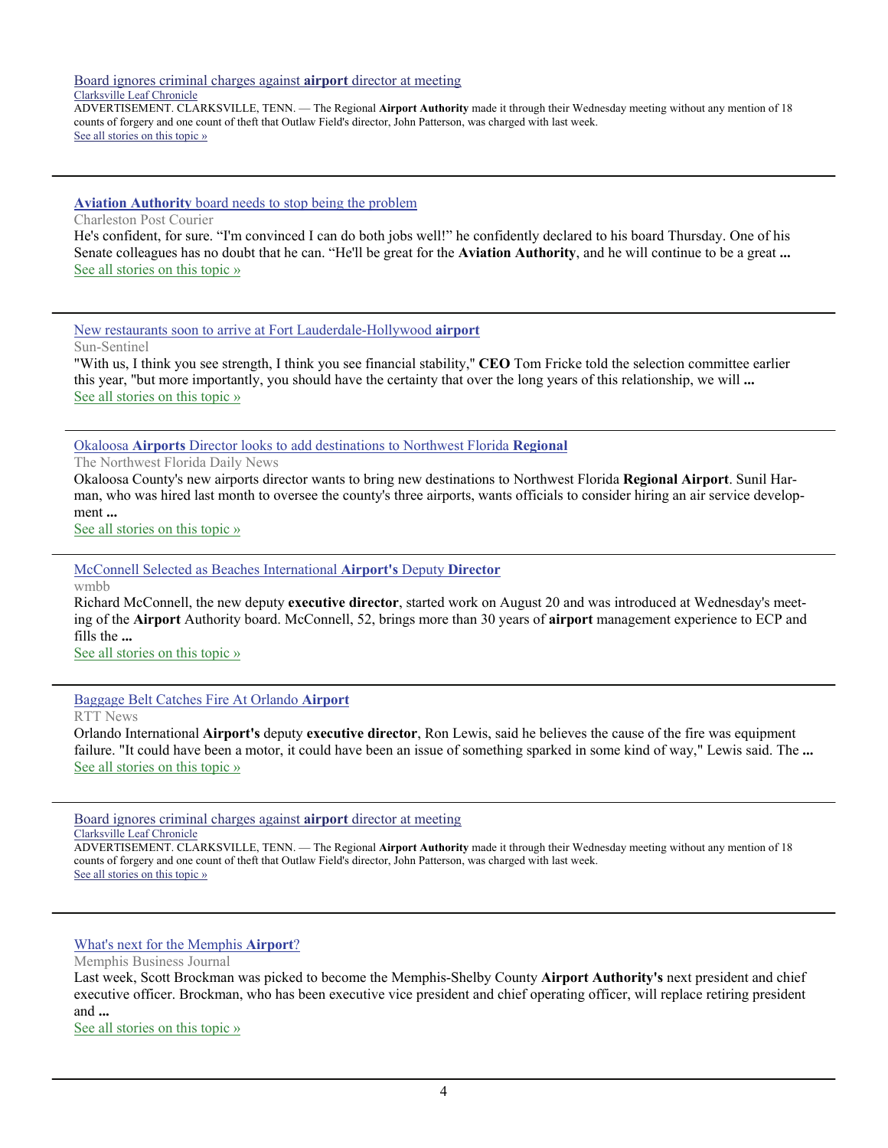[Board ignores criminal charges against](http://www.google.com/url?sa=X&q=http://www.theleafchronicle.com/article/20130828/NEWS01/308280023&ct=ga&cad=CAEQARgAIAAoATABOAFAoar6kAVIAVAAWABiAmVu&cd=-nyBxg3iDRY&usg=AFQjCNGlk9TyNr7kO8Uzf7HrDLuSHYbO7Q) **airport** director at meeting Clarksville Leaf Chronicle

ADVERTISEMENT. CLARKSVILLE, TENN. — The Regional **Airport Authority** made it through their Wednesday meeting without any mention of 18 counts of forgery and one count of theft that Outlaw Field's director, John Patterson, was charged with last week. [See all stories on this topic »](http://www.google.com/url?sa=X&q=http://news.google.com/news/story%3Fncl%3Dhttp://www.theleafchronicle.com/article/20130828/NEWS01/308280023%26hl%3Den%26geo%3Dus&ct=ga&cad=CAEQARgAIAAoBjABOAFAoar6kAVIAVAAWABiAmVu&cd=-nyBxg3iDRY&usg=AFQjCNEXyZwPse1gN969TYEWBc1-zkb2bg)

**Aviation Authority** [board needs to stop being the problem](http://www.google.com/url?sa=X&q=http://www.postandcourier.com/article/20130824/PC1002/130829630/1021/aviation-authority-board-needs-to-stop-being-the-problem%26source%3DRSS&ct=ga&cad=CAEQAhgAIAAoATAAOABAvLvikAVIAVAAWABiAmVu&cd=JU585j0Bb44&usg=AFQjCNEy1UpEvt4yWzH5dqxcOkSCXRAsKg)

Charleston Post Courier

He's confident, for sure. "I'm convinced I can do both jobs well!" he confidently declared to his board Thursday. One of his Senate colleagues has no doubt that he can. "He'll be great for the **Aviation Authority**, and he will continue to be a great **...** [See all stories on this topic »](http://www.google.com/url?sa=X&q=http://news.google.com/news/story%3Fncl%3Dhttp://www.postandcourier.com/article/20130824/PC1002/130829630/1021/aviation-authority-board-needs-to-stop-being-the-problem%2526source%253DRSS%26hl%3Den%26geo%3Dus&ct=ga&cad=CAEQAhgAIAAoBjAAOABAvLvikAVIAVAAWABiAmVu&cd=JU585j0Bb44&usg=AFQjCNEtyEPHUMtfRzGfQRtPv6OvY9Y3cQ)

[New restaurants soon to arrive at Fort Lauderdale-Hollywood](http://www.google.com/url?sa=X&q=http://www.sun-sentinel.com/news/broward/fl-airport-food-fll-20130822,0,5233804.story&ct=ga&cad=CAEQAhgAIAAoATABOAFA7N7lkAVIAVAAWABiAmVu&cd=Tp5Nznw8jUo&usg=AFQjCNH6jm0DqLclbTxILwJ9DhjtsaVWqQ) **airport**

Sun-Sentinel

"With us, I think you see strength, I think you see financial stability,'' **CEO** Tom Fricke told the selection committee earlier this year, "but more importantly, you should have the certainty that over the long years of this relationship, we will **...** [See all stories on this topic »](http://www.google.com/url?sa=X&q=http://news.google.com/news/story%3Fncl%3Dhttp://www.sun-sentinel.com/news/broward/fl-airport-food-fll-20130822,0,5233804.story%26hl%3Den%26geo%3Dus&ct=ga&cad=CAEQAhgAIAAoBjABOAFA7N7lkAVIAVAAWABiAmVu&cd=Tp5Nznw8jUo&usg=AFQjCNEKk8UGXHs1sNuEsbC6CYrg4V023A)

Okaloosa **Airports** [Director looks to add destinations to Northwest Florida](http://www.google.com/url?sa=X&q=http://www.nwfdailynews.com/business/local-business-news/okaloosa-airports-director-looks-to-add-destinations-to-northwest-florida-regional-1.192587&ct=ga&cad=CAEQARgAIAAoATAAOABAwf7lkAVIAVAAWABiAmVu&cd=VFJ6a4FgJjw&usg=AFQjCNGhERkNdapIuUBXQo-ZvhE6mVcdkQ) **Regional**

The Northwest Florida Daily News

Okaloosa County's new airports director wants to bring new destinations to Northwest Florida **Regional Airport**. Sunil Harman, who was hired last month to oversee the county's three airports, wants officials to consider hiring an air service development **...**

[See all stories on this topic »](http://www.google.com/url?sa=X&q=http://news.google.com/news/story%3Fncl%3Dhttp://www.nwfdailynews.com/business/local-business-news/okaloosa-airports-director-looks-to-add-destinations-to-northwest-florida-regional-1.192587%26hl%3Den%26geo%3Dus&ct=ga&cad=CAEQARgAIAAoBjAAOABAwf7lkAVIAVAAWABiAmVu&cd=VFJ6a4FgJjw&usg=AFQjCNGlFg6Kt9wjLVus76JJPz-FW731Ow)

[McConnell Selected as Beaches International](http://www.google.com/url?sa=X&q=http://www.wmbb.com/story/23281434/mcconnell-selected-as-beaches-international-airports-deputy-director&ct=ga&cad=CAEQAhgAIAAoATAAOABAiPT9kAVIAVAAWABiAmVu&cd=2t0Sv2DN61Y&usg=AFQjCNHQQJ1LrFkozZ-JuQdjfxm8Mjxhzg) **Airport's** Deputy **Director**

wmbb

Richard McConnell, the new deputy **executive director**, started work on August 20 and was introduced at Wednesday's meeting of the **Airport** Authority board. McConnell, 52, brings more than 30 years of **airport** management experience to ECP and fills the **...**

[See all stories on this topic »](http://www.google.com/url?sa=X&q=http://news.google.com/news/story%3Fncl%3Dhttp://www.wmbb.com/story/23281434/mcconnell-selected-as-beaches-international-airports-deputy-director%26hl%3Den%26geo%3Dus&ct=ga&cad=CAEQAhgAIAAoBjAAOABAiPT9kAVIAVAAWABiAmVu&cd=2t0Sv2DN61Y&usg=AFQjCNGuLKbwfP_tPQ79fzDBxfuvyFS0NA)

[Baggage Belt Catches Fire At Orlando](http://www.google.com/url?sa=X&q=http://www.rttnews.com/2180501/baggage-belt-catches-fire-at-orlando-airport.aspx%3Ftype%3Dgn%26utm_source%3Dgoogle%26utm_campaign%3Dsitemap&ct=ga&cad=CAEQAhgAIAAoATADOANAiPT9kAVIAVAAWABiAmVu&cd=2t0Sv2DN61Y&usg=AFQjCNESAky5kB6o5-OpVYxf_8McxFZ8PA) **Airport**

RTT News

Orlando International **Airport's** deputy **executive director**, Ron Lewis, said he believes the cause of the fire was equipment failure. "It could have been a motor, it could have been an issue of something sparked in some kind of way," Lewis said. The **...** [See all stories on this topic »](http://www.google.com/url?sa=X&q=http://news.google.com/news/story%3Fncl%3Dhttp://www.rttnews.com/2180501/baggage-belt-catches-fire-at-orlando-airport.aspx%253Ftype%253Dgn%2526utm_source%253Dgoogle%2526utm_campaign%253Dsitemap%26hl%3Den%26geo%3Dus&ct=ga&cad=CAEQAhgAIAAoBjADOANAiPT9kAVIAVAAWABiAmVu&cd=2t0Sv2DN61Y&usg=AFQjCNEPwpY-KO-6fjay7XX2Il7-hECriw)

[Board ignores criminal charges against](http://www.google.com/url?sa=X&q=http://www.theleafchronicle.com/article/20130828/NEWS01/308280023&ct=ga&cad=CAEQARgAIAAoATABOAFAoar6kAVIAVAAWABiAmVu&cd=-nyBxg3iDRY&usg=AFQjCNGlk9TyNr7kO8Uzf7HrDLuSHYbO7Q) **airport** director at meeting Clarksville Leaf Chronicle

ADVERTISEMENT. CLARKSVILLE, TENN. — The Regional **Airport Authority** made it through their Wednesday meeting without any mention of 18 counts of forgery and one count of theft that Outlaw Field's director, John Patterson, was charged with last week. [See all stories on this topic »](http://www.google.com/url?sa=X&q=http://news.google.com/news/story%3Fncl%3Dhttp://www.theleafchronicle.com/article/20130828/NEWS01/308280023%26hl%3Den%26geo%3Dus&ct=ga&cad=CAEQARgAIAAoBjABOAFAoar6kAVIAVAAWABiAmVu&cd=-nyBxg3iDRY&usg=AFQjCNEXyZwPse1gN969TYEWBc1-zkb2bg)

[What's next for the Memphis](http://www.google.com/url?sa=X&q=http://www.bizjournals.com/memphis/news/2013/08/28/whats-next-for-the-memphis-airport.html&ct=ga&cad=CAEQARgAIAAoATACOAJAhKr5kAVIAVAAWABiAmVu&cd=A8wY0mXrUXI&usg=AFQjCNElrix5uxBvel000AcsNtNHs0Rv5Q) **Airport**?

Memphis Business Journal

Last week, Scott Brockman was picked to become the Memphis-Shelby County **Airport Authority's** next president and chief executive officer. Brockman, who has been executive vice president and chief operating officer, will replace retiring president and **...**

[See all stories on this topic »](http://www.google.com/url?sa=X&q=http://news.google.com/news/story%3Fncl%3Dhttp://www.bizjournals.com/memphis/news/2013/08/28/whats-next-for-the-memphis-airport.html%26hl%3Den%26geo%3Dus&ct=ga&cad=CAEQARgAIAAoBjACOAJAhKr5kAVIAVAAWABiAmVu&cd=A8wY0mXrUXI&usg=AFQjCNFReyENSD6aqtyp95yQS8USEIiMaQ)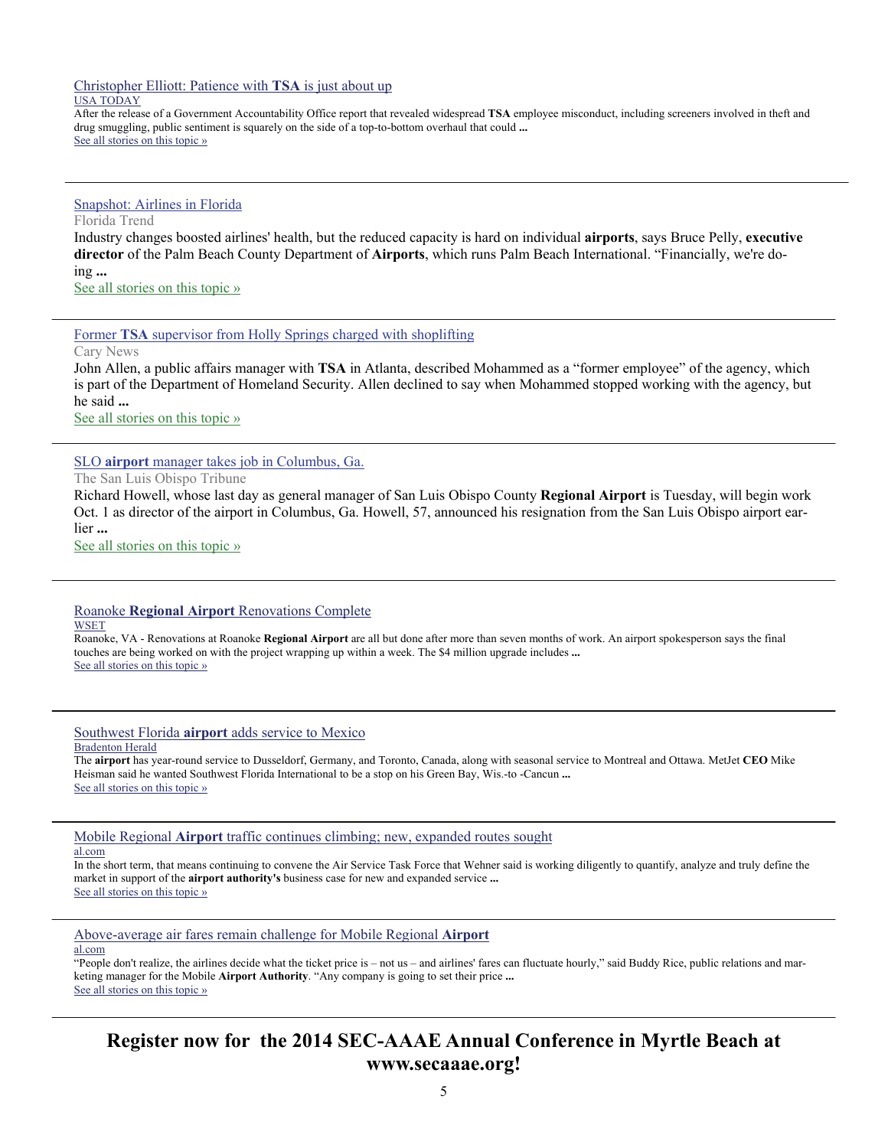[Christopher Elliott: Patience with](http://www.google.com/url?sa=X&q=http://www.usatoday.com/story/travel/flights/2013/09/08/tsa-employee-misconduct/2783055/&ct=ga&cad=CAEQARgAIAAoATAAOABA9_q2kQVIAVAAWABiAmVu&cd=0sCinAGOHdE&usg=AFQjCNG_ncq42ExNLTHSIZNFD6suJWMMgw) **TSA** is just about up

# USA TODAY

After the release of a Government Accountability Office report that revealed widespread **TSA** employee misconduct, including screeners involved in theft and drug smuggling, public sentiment is squarely on the side of a top-to-bottom overhaul that could **...** [See all stories on this topic »](http://www.google.com/url?sa=X&q=http://news.google.com/news/story%3Fncl%3Dhttp://www.usatoday.com/story/travel/flights/2013/09/08/tsa-employee-misconduct/2783055/%26hl%3Den%26geo%3Dus&ct=ga&cad=CAEQARgAIAAoBjAAOABA9_q2kQVIAVAAWABiAmVu&cd=0sCinAGOHdE&usg=AFQjCNFE8rZkjWhWCZlPzWHh86hxkSox8A)

## [Snapshot: Airlines in Florida](http://www.google.com/url?sa=X&q=http://www.floridatrend.com/article/16037/snapshot-airlines-in-florida&ct=ga&cad=CAEQAhgAIAAoATACOAJAh9H4kAVIAVAAWABiAmVu&cd=03hXUeA8Iok&usg=AFQjCNG-F9cfPfikAeRyJavLeBlqfxlsBA)

Florida Trend

Industry changes boosted airlines' health, but the reduced capacity is hard on individual **airports**, says Bruce Pelly, **executive director** of the Palm Beach County Department of **Airports**, which runs Palm Beach International. "Financially, we're doing **...**

[See all stories on this topic »](http://www.google.com/url?sa=X&q=http://news.google.com/news/story%3Fncl%3Dhttp://www.floridatrend.com/article/16037/snapshot-airlines-in-florida%26hl%3Den%26geo%3Dus&ct=ga&cad=CAEQAhgAIAAoBjACOAJAh9H4kAVIAVAAWABiAmVu&cd=03hXUeA8Iok&usg=AFQjCNFd00fRxNufttLTGNm_mXNbD9SWHQ)

Former **TSA** [supervisor from Holly Springs charged with shoplifting](http://www.google.com/url?sa=X&q=http://www.carynews.com/2013/08/28/3143280/former-tsa-supervisor-from-holly.html&ct=ga&cad=CAEQARgAIAAoATAAOABAqoz4kAVIAVAAWABiAmVu&cd=oxNa2GY2Jmg&usg=AFQjCNHfkCbN3w_pgp0qUaIBHyIhHbHEpQ)

Cary News

John Allen, a public affairs manager with **TSA** in Atlanta, described Mohammed as a "former employee" of the agency, which is part of the Department of Homeland Security. Allen declined to say when Mohammed stopped working with the agency, but he said **...**

[See all stories on this topic »](http://www.google.com/url?sa=X&q=http://news.google.com/news/story%3Fncl%3Dhttp://www.carynews.com/2013/08/28/3143280/former-tsa-supervisor-from-holly.html%26hl%3Den%26geo%3Dus&ct=ga&cad=CAEQARgAIAAoBjAAOABAqoz4kAVIAVAAWABiAmVu&cd=oxNa2GY2Jmg&usg=AFQjCNG-fZ1HMNg9GK83oDRqAKeE9jRPZQ)

SLO **airport** [manager takes job in Columbus, Ga.](http://www.google.com/url?sa=X&q=http://www.sanluisobispo.com/2013/08/26/2652137/slo-airport-manager-takes-job.html&ct=ga&cad=CAEQARgAIAAoATABOAFAxdzvkAVIAVAAWABiAmVu&cd=dZoLuskipJ8&usg=AFQjCNFG4ZYzOnEgef0Q13nxN4ZwCrib4w)

The San Luis Obispo Tribune

Richard Howell, whose last day as general manager of San Luis Obispo County **Regional Airport** is Tuesday, will begin work Oct. 1 as director of the airport in Columbus, Ga. Howell, 57, announced his resignation from the San Luis Obispo airport earlier **...**

[See all stories on this topic »](http://www.google.com/url?sa=X&q=http://news.google.com/news/story%3Fncl%3Dhttp://www.sanluisobispo.com/2013/08/26/2652137/slo-airport-manager-takes-job.html%26hl%3Den%26geo%3Dus&ct=ga&cad=CAEQARgAIAAoBjABOAFAxdzvkAVIAVAAWABiAmVu&cd=dZoLuskipJ8&usg=AFQjCNGhjGZqT8sJoi7CYNVFlj4FCbAYBQ)

#### Roanoke **Regional Airport** [Renovations Complete](http://www.google.com/url?sa=X&q=http://www.wset.com/story/23383326/roanoke-regional-airport-renovations-complete&ct=ga&cad=CAEQARgAIAAoATAAOABA9M25kQVIAVAAWABiAmVu&cd=JfsnZD3teMA&usg=AFQjCNEiCX0MixT4v6o7ZDfL8JqGYJhf8w) **WSET**

Roanoke, VA - Renovations at Roanoke **Regional Airport** are all but done after more than seven months of work. An airport spokesperson says the final touches are being worked on with the project wrapping up within a week. The \$4 million upgrade includes **...** [See all stories on this topic »](http://www.google.com/url?sa=X&q=http://news.google.com/news/story%3Fncl%3Dhttp://www.wset.com/story/23383326/roanoke-regional-airport-renovations-complete%26hl%3Den%26geo%3Dus&ct=ga&cad=CAEQARgAIAAoBjAAOABA9M25kQVIAVAAWABiAmVu&cd=JfsnZD3teMA&usg=AFQjCNFreflf1TSj8dF5NemdiwWllgDKJA)

Southwest Florida **airport** [adds service to Mexico](http://www.google.com/url?sa=X&q=http://www.bradenton.com/2013/09/08/4705378/southwest-florida-airport-adds.html&ct=ga&cad=CAEQAhgAIAAoATADOANA-Ou0kQVIAVAAWABiAmVu&cd=ii3bxPT__28&usg=AFQjCNH6y-7wJ7JwGNU-KS264BKE39LnXA)

# Bradenton Herald

The **airport** has year-round service to Dusseldorf, Germany, and Toronto, Canada, along with seasonal service to Montreal and Ottawa. MetJet **CEO** Mike Heisman said he wanted Southwest Florida International to be a stop on his Green Bay, Wis.-to -Cancun **...** [See all stories on this topic »](http://www.google.com/url?sa=X&q=http://news.google.com/news/story%3Fncl%3Dhttp://www.bradenton.com/2013/09/08/4705378/southwest-florida-airport-adds.html%26hl%3Den%26geo%3Dus&ct=ga&cad=CAEQAhgAIAAoBjADOANA-Ou0kQVIAVAAWABiAmVu&cd=ii3bxPT__28&usg=AFQjCNGMs6J5YcBZ1GIUQS1KjMYl-_t4XA)

Mobile Regional **Airport** [traffic continues climbing; new, expanded routes sought](http://www.google.com/url?sa=X&q=http://www.al.com/business/index.ssf/2013/09/mobile_regional_airport_traffi.html&ct=ga&cad=CAEQARgAIAAoATABOAFA6L6xkQVIAVAAWABiAmVu&cd=hAsM8YMddsE&usg=AFQjCNH8ZUtZAe3n242dllJm8YohGnc0og)

## al.com

In the short term, that means continuing to convene the Air Service Task Force that Wehner said is working diligently to quantify, analyze and truly define the market in support of the **airport authority's** business case for new and expanded service **...** [See all stories on this topic »](http://www.google.com/url?sa=X&q=http://news.google.com/news/story%3Fncl%3Dhttp://www.al.com/business/index.ssf/2013/09/mobile_regional_airport_traffi.html%26hl%3Den%26geo%3Dus&ct=ga&cad=CAEQARgAIAAoBjABOAFA6L6xkQVIAVAAWABiAmVu&cd=hAsM8YMddsE&usg=AFQjCNFDPfWNw_w29EeLH3TCRMGMp4HRHQ)

[Above-average air fares remain challenge for Mobile Regional](http://www.google.com/url?sa=X&q=http://www.al.com/business/index.ssf/2013/09/above-average_air_fare_remains.html&ct=ga&cad=CAEQARgAIAAoATACOAJA6L6xkQVIAVAAWABiAmVu&cd=hAsM8YMddsE&usg=AFQjCNEJ9af6ulTuBNHzj2dL-4Nt0ueBSw) **Airport**

#### al.com

"People don't realize, the airlines decide what the ticket price is – not us – and airlines' fares can fluctuate hourly," said Buddy Rice, public relations and marketing manager for the Mobile **Airport Authority**. "Any company is going to set their price **...** [See all stories on this topic »](http://www.google.com/url?sa=X&q=http://news.google.com/news/story%3Fncl%3Dhttp://www.al.com/business/index.ssf/2013/09/above-average_air_fare_remains.html%26hl%3Den%26geo%3Dus&ct=ga&cad=CAEQARgAIAAoBjACOAJA6L6xkQVIAVAAWABiAmVu&cd=hAsM8YMddsE&usg=AFQjCNEFZJ1SzkJDuBMOps7IgSwOEO7M4g)

# **Register now for the 2014 SEC-AAAE Annual Conference in Myrtle Beach at www.secaaae.org!**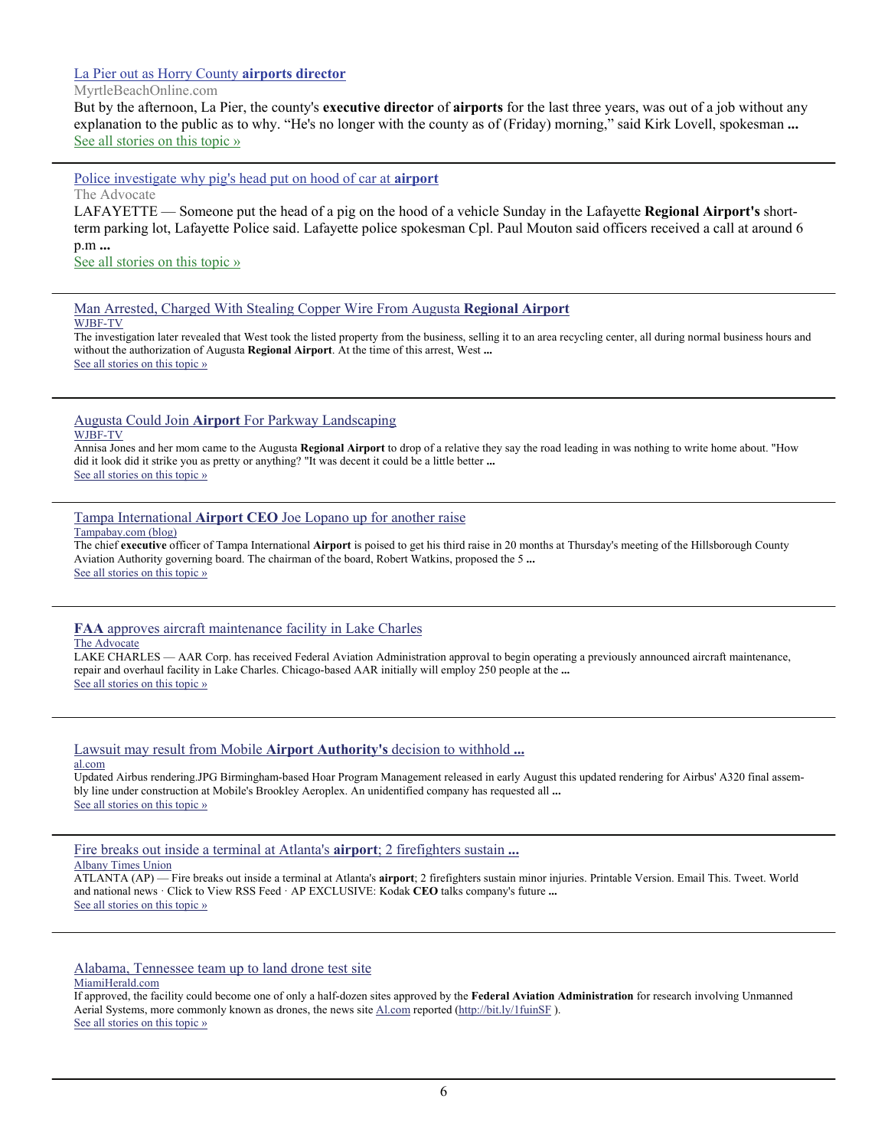# [La Pier out as Horry County](http://www.google.com/url?sa=X&q=http://www.myrtlebeachonline.com/2013/09/13/3707050/la-pier-out-as-horry-county-airports.html&ct=ga&cad=CAEQAhgAIAAoATAAOABA8qzSkQVIAVAAWABiAmVu&cd=uhx-JGN3Fxk&usg=AFQjCNG-UAXVIisFVD18JvmSK5MsHPeNcg) **airports director**

#### MyrtleBeachOnline.com

But by the afternoon, La Pier, the county's **executive director** of **airports** for the last three years, was out of a job without any explanation to the public as to why. "He's no longer with the county as of (Friday) morning," said Kirk Lovell, spokesman ... [See all stories on this topic »](http://www.google.com/url?sa=X&q=http://news.google.com/news/story%3Fncl%3Dhttp://www.myrtlebeachonline.com/2013/09/13/3707050/la-pier-out-as-horry-county-airports.html%26hl%3Den%26geo%3Dus&ct=ga&cad=CAEQAhgAIAAoBjAAOABA8qzSkQVIAVAAWABiAmVu&cd=uhx-JGN3Fxk&usg=AFQjCNEywAUz571eL_s3n_MJlxKoNtH-9Q)

[Police investigate why pig's head put on hood of car at](http://www.google.com/url?sa=X&q=http://theadvocate.com/news/7009282-123/police-investigate-why-pigs-head&ct=ga&cad=CAEQARgAIAAoATABOAFA5tK4kQVIAVAAWABiAmVu&cd=Lj0CbK2WB48&usg=AFQjCNENxytGHb06ROm3Pmuht6FFepFPYQ) **airport**

The Advocate

LAFAYETTE — Someone put the head of a pig on the hood of a vehicle Sunday in the Lafayette **Regional Airport's** shortterm parking lot, Lafayette Police said. Lafayette police spokesman Cpl. Paul Mouton said officers received a call at around 6 p.m **...**

[See all stories on this topic »](http://www.google.com/url?sa=X&q=http://news.google.com/news/story%3Fncl%3Dhttp://theadvocate.com/news/7009282-123/police-investigate-why-pigs-head%26hl%3Den%26geo%3Dus&ct=ga&cad=CAEQARgAIAAoBjABOAFA5tK4kQVIAVAAWABiAmVu&cd=Lj0CbK2WB48&usg=AFQjCNE8JVXXvkNfJs67WC-Awpj705XIOw)

[Man Arrested, Charged With Stealing Copper Wire From Augusta](http://www.google.com/url?sa=X&q=http://www.wjbf.com/story/23352863/man-arrested-charged-with-stealing-copper-wire-from-augusta-regional-airport&ct=ga&cad=CAEQARgAIAAoATACOAJA_LWkkQVIAVAAWABiAmVu&cd=DGmauR3i89I&usg=AFQjCNGJ7x2nTYvoyJ-vAOSsFi4fSiNtmA) **Regional Airport** WJBF-TV

The investigation later revealed that West took the listed property from the business, selling it to an area recycling center, all during normal business hours and without the authorization of Augusta **Regional Airport**. At the time of this arrest, West **...** [See all stories on this topic »](http://www.google.com/url?sa=X&q=http://news.google.com/news/story%3Fncl%3Dhttp://www.wjbf.com/story/23352863/man-arrested-charged-with-stealing-copper-wire-from-augusta-regional-airport%26hl%3Den%26geo%3Dus&ct=ga&cad=CAEQARgAIAAoBjACOAJA_LWkkQVIAVAAWABiAmVu&cd=DGmauR3i89I&usg=AFQjCNHH_vYg5PjtiN3DsDsNzCoGkpr2Kw)

#### Augusta Could Join **Airport** [For Parkway Landscaping](http://www.google.com/url?sa=X&q=http://www.wjbf.com/story/23341066/augusta-could-join-airport-for-parkway-landscaping&ct=ga&cad=CAEQARgAIAAoATACOAJA1r-ekQVIAVAAWABiAmVu&cd=4O820uqKwZ4&usg=AFQjCNFW5kLeJGILSQZU63cXrzWcOx2xQQ) WJBF-TV

Annisa Jones and her mom came to the Augusta **Regional Airport** to drop of a relative they say the road leading in was nothing to write home about. "How did it look did it strike you as pretty or anything? "It was decent it could be a little better **...** [See all stories on this topic »](http://www.google.com/url?sa=X&q=http://news.google.com/news/story%3Fncl%3Dhttp://www.wjbf.com/story/23341066/augusta-could-join-airport-for-parkway-landscaping%26hl%3Den%26geo%3Dus&ct=ga&cad=CAEQARgAIAAoBjACOAJA1r-ekQVIAVAAWABiAmVu&cd=4O820uqKwZ4&usg=AFQjCNGp4n57cjZQQE2oDWPxXSQ6sFUV9Q)

Tampa International **Airport CEO** [Joe Lopano up for another raise](http://www.google.com/url?sa=X&q=http://www.tampabay.com/news/business/airlines/tampa-international-airport-ceo-joe-lopano-up-for-another-raise/2140031&ct=ga&cad=CAEQAhgAIAAoATAAOABA8N-fkQVIAVAAWABiAmVu&cd=aYve9tQlONw&usg=AFQjCNEbdq5-eqMmf9a2BxCxg77dm5UCSg)

#### Tampabay.com (blog)

The chief **executive** officer of Tampa International **Airport** is poised to get his third raise in 20 months at Thursday's meeting of the Hillsborough County Aviation Authority governing board. The chairman of the board, Robert Watkins, proposed the 5 **...** [See all stories on this topic »](http://www.google.com/url?sa=X&q=http://news.google.com/news/story%3Fncl%3Dhttp://www.tampabay.com/news/business/airlines/tampa-international-airport-ceo-joe-lopano-up-for-another-raise/2140031%26hl%3Den%26geo%3Dus&ct=ga&cad=CAEQAhgAIAAoBjAAOABA8N-fkQVIAVAAWABiAmVu&cd=aYve9tQlONw&usg=AFQjCNFjj7rutL46OPnb5x1JQtvykMcpxw)

#### **FAA** [approves aircraft maintenance facility in Lake Charles](http://www.google.com/url?sa=X&q=http://theadvocate.com/news/business/6957456-123/faa-approves-aircraft-maintenance-facility&ct=ga&cad=CAcQARgAIAAoATAAOABAtuOZkQVIAVAAWABiBWVuLVVT&cd=I9eKyM-2NLc&usg=AFQjCNGnkDniGnyJ-yVoKRl1TvgeMqAXWw) The Advocate

LAKE CHARLES — AAR Corp. has received Federal Aviation Administration approval to begin operating a previously announced aircraft maintenance, repair and overhaul facility in Lake Charles. Chicago-based AAR initially will employ 250 people at the **...** [See all stories on this topic »](http://www.google.com/url?sa=X&q=http://news.google.com/news/story%3Fncl%3Dhttp://theadvocate.com/news/business/6957456-123/faa-approves-aircraft-maintenance-facility%26hl%3Den%26geo%3Dus&ct=ga&cad=CAcQARgAIAAoBjAAOABAtuOZkQVIAVAAWABiBWVuLVVT&cd=I9eKyM-2NLc&usg=AFQjCNFPDZ8q6B4ZP2DkV46U3Q21mryTew)

#### [Lawsuit may result from Mobile](http://www.google.com/url?sa=X&q=http://blog.al.com/live/2013/09/lawsuit_may_result_from_mobile.html&ct=ga&cad=CAEQARgAIAAoATAAOABAppGakQVIAVAAWABiAmVu&cd=B2-A5Fy0XsA&usg=AFQjCNGVi2SEM1NFxkWN3Hie_HLkq7V1QA) **Airport Authority's** decision to withhold **...** al.com

Updated Airbus rendering.JPG Birmingham-based Hoar Program Management released in early August this updated rendering for Airbus' A320 final assembly line under construction at Mobile's Brookley Aeroplex. An unidentified company has requested all **...** [See all stories on this topic »](http://www.google.com/url?sa=X&q=http://news.google.com/news/story%3Fncl%3Dhttp://blog.al.com/live/2013/09/lawsuit_may_result_from_mobile.html%26hl%3Den%26geo%3Dus&ct=ga&cad=CAEQARgAIAAoBjAAOABAppGakQVIAVAAWABiAmVu&cd=B2-A5Fy0XsA&usg=AFQjCNHa2vC9msKAbPvHirss1WzwFL6WtA)

[Fire breaks out inside a terminal at Atlanta's](http://www.google.com/url?sa=X&q=http://www.timesunion.com/news/article/Fire-breaks-out-inside-a-terminal-at-Atlanta-s-4782252.php&ct=ga&cad=CAEQAhgAIAAoATAGOAZA6byakQVIAVAAWABiAmVu&cd=D0v-D0FImgY&usg=AFQjCNFaiFKRdAglxL97rjht5mIud7zUVg) **airport**; 2 firefighters sustain **...**

Albany Times Union

ATLANTA (AP) — Fire breaks out inside a terminal at Atlanta's **airport**; 2 firefighters sustain minor injuries. Printable Version. Email This. Tweet. World and national news · Click to View RSS Feed · AP EXCLUSIVE: Kodak **CEO** talks company's future **...** [See all stories on this topic »](http://www.google.com/url?sa=X&q=http://news.google.com/news/story%3Fncl%3Dhttp://www.timesunion.com/news/article/Fire-breaks-out-inside-a-terminal-at-Atlanta-s-4782252.php%26hl%3Den%26geo%3Dus&ct=ga&cad=CAEQAhgAIAAoBjAGOAZA6byakQVIAVAAWABiAmVu&cd=D0v-D0FImgY&usg=AFQjCNEzPzrlfDVFDHYMnEPAls1i0RgbEA)

[Alabama, Tennessee team up to land drone test site](http://www.google.com/url?sa=X&q=http://www.miamiherald.com/2013/09/02/3601576/alabama-tennessee-team-up-to-land.html&ct=ga&cad=CAcQARgAIAAoATAAOABArK-TkQVIAVAAWABiBWVuLVVT&cd=bFHWLdH0CX8&usg=AFQjCNE2Ck4yGHZ50ViGR619-qeJZ7ZytA) MiamiHerald.com

If approved, the facility could become one of only a half-dozen sites approved by the **Federal Aviation Administration** for research involving Unmanned Aerial Systems, more commonly known as drones, the news site [Al.com](http://Al.com) reported (<http://bit.ly/1fuinSF>). [See all stories on this topic »](http://www.google.com/url?sa=X&q=http://news.google.com/news/story%3Fncl%3Dhttp://www.miamiherald.com/2013/09/02/3601576/alabama-tennessee-team-up-to-land.html%26hl%3Den%26geo%3Dus&ct=ga&cad=CAcQARgAIAAoBjAAOABArK-TkQVIAVAAWABiBWVuLVVT&cd=bFHWLdH0CX8&usg=AFQjCNGqIGNGWdAJqcyGvnHnWRlX7MmHyw)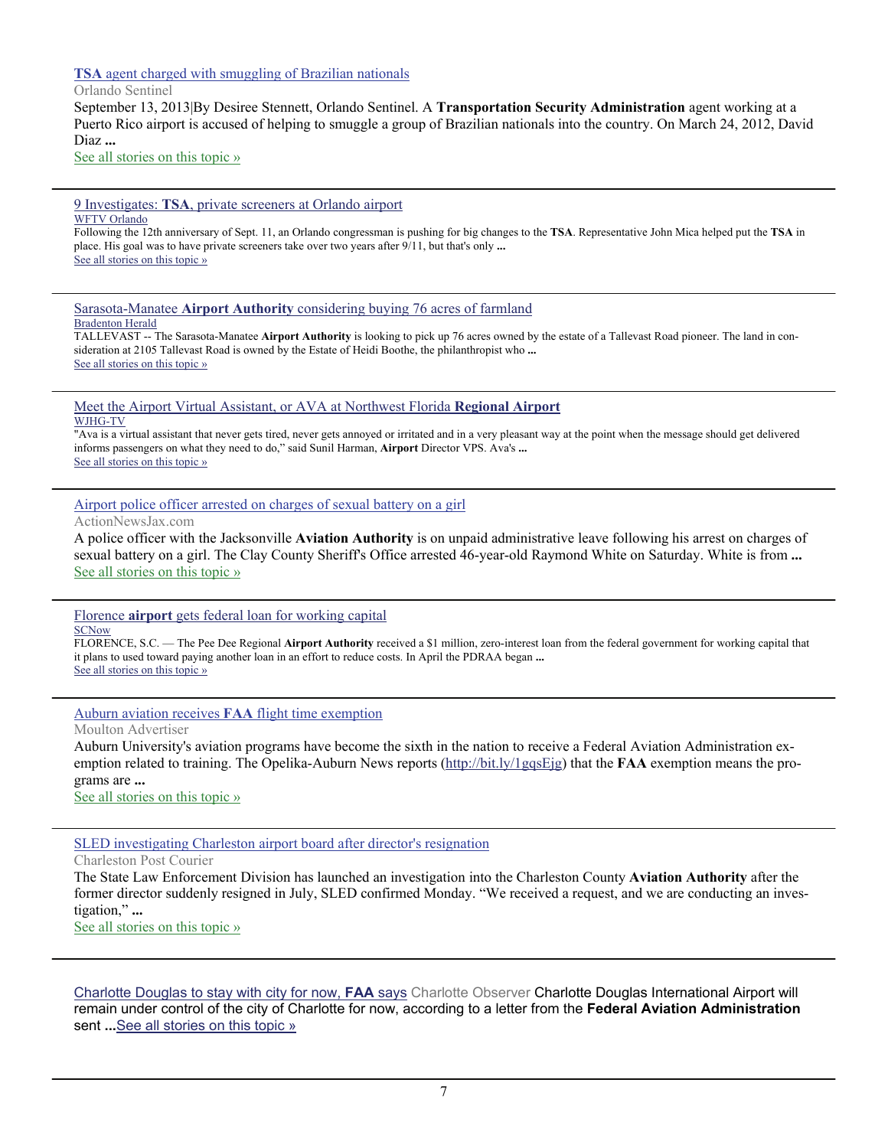# **TSA** [agent charged with smuggling of Brazilian nationals](http://www.google.com/url?sa=X&q=http://articles.orlandosentinel.com/2013-09-13/news/os-tsa-agent-arrested-20130913_1_puerto-rico-smuggling-transportation-security-administration-agent&ct=ga&cad=CAEQARgAIAAoATAAOABA4rrQkQVIAVAAWABiAmVu&cd=v_CJSe-BZMs&usg=AFQjCNFFZKxP7hFsbrj1YI1aaXmKGSmDjw)

# Orlando Sentinel

September 13, 2013|By Desiree Stennett, Orlando Sentinel. A **Transportation Security Administration** agent working at a Puerto Rico airport is accused of helping to smuggle a group of Brazilian nationals into the country. On March 24, 2012, David Diaz **...**

[See all stories on this topic »](http://www.google.com/url?sa=X&q=http://news.google.com/news/story%3Fncl%3Dhttp://articles.orlandosentinel.com/2013-09-13/news/os-tsa-agent-arrested-20130913_1_puerto-rico-smuggling-transportation-security-administration-agent%26hl%3Den%26geo%3Dus&ct=ga&cad=CAEQARgAIAAoBjAAOABA4rrQkQVIAVAAWABiAmVu&cd=v_CJSe-BZMs&usg=AFQjCNEJEoZQEwwE2vFknr47St2WrnTRbQ)

#### 9 Investigates: **TSA**[, private screeners at Orlando airport](http://www.google.com/url?sa=X&q=http://www.wftv.com/news/news/local/9-investigates-tsa-private-screeners-orlando-airpo/nZt8C/&ct=ga&cad=CAEQARgAIAAoATACOAJA-ZzKkQVIAVAAWABiAmVu&cd=EKXjlHIhLH8&usg=AFQjCNGDU-uDx4w-NswjtKtpKrrWGcRVrw) WFTV Orlando

Following the 12th anniversary of Sept. 11, an Orlando congressman is pushing for big changes to the **TSA**. Representative John Mica helped put the **TSA** in place. His goal was to have private screeners take over two years after 9/11, but that's only **...** [See all stories on this topic »](http://www.google.com/url?sa=X&q=http://news.google.com/news/story%3Fncl%3Dhttp://www.wftv.com/news/news/local/9-investigates-tsa-private-screeners-orlando-airpo/nZt8C/%26hl%3Den%26geo%3Dus&ct=ga&cad=CAEQARgAIAAoBjACOAJA-ZzKkQVIAVAAWABiAmVu&cd=EKXjlHIhLH8&usg=AFQjCNGmH3-zhxPUUaUWTtlC5nGSemrvKA)

# Sarasota-Manatee **Airport Authority** [considering buying 76 acres of farmland](http://www.google.com/url?sa=X&q=http://www.bradenton.com/2013/09/13/4715098/sarasota-manatee-airport-authority.html&ct=ga&cad=CAEQARgAIAAoATAAOABArrjKkQVIAVAAWABiAmVu&cd=hIgYYFlU2vs&usg=AFQjCNHfi5Uz-wTD73RhezrpEKWdL3q6fQ)

Bradenton Herald

TALLEVAST -- The Sarasota-Manatee **Airport Authority** is looking to pick up 76 acres owned by the estate of a Tallevast Road pioneer. The land in consideration at 2105 Tallevast Road is owned by the Estate of Heidi Boothe, the philanthropist who **...** [See all stories on this topic »](http://www.google.com/url?sa=X&q=http://news.google.com/news/story%3Fncl%3Dhttp://www.bradenton.com/2013/09/13/4715098/sarasota-manatee-airport-authority.html%26hl%3Den%26geo%3Dus&ct=ga&cad=CAEQARgAIAAoBjAAOABArrjKkQVIAVAAWABiAmVu&cd=hIgYYFlU2vs&usg=AFQjCNG4gxh15ejb5PEIumo2ZxFYioNpew)

#### [Meet the Airport Virtual Assistant, or AVA at Northwest Florida](http://www.google.com/url?sa=X&q=http://www.wjhg.com/home/headlines/Meet--224479211.html&ct=ga&cad=CAEQARgAIAAoATAAOABAyLbukQVIAVAAWABiAmVu&cd=vssuGhj_n98&usg=AFQjCNEGF5mtdHhv634ftCAzYkRwbwu-UA) **Regional Airport** WJHG-TV

"Ava is a virtual assistant that never gets tired, never gets annoyed or irritated and in a very pleasant way at the point when the message should get delivered informs passengers on what they need to do," said Sunil Harman, **Airport** Director VPS. Ava's **...** [See all stories on this topic »](http://www.google.com/url?sa=X&q=http://news.google.com/news/story%3Fncl%3Dhttp://www.wjhg.com/home/headlines/Meet--224479211.html%26hl%3Den%26geo%3Dus&ct=ga&cad=CAEQARgAIAAoBjAAOABAyLbukQVIAVAAWABiAmVu&cd=vssuGhj_n98&usg=AFQjCNHAHDsVxMPZ2c5TVQG5UvU62cbPvg)

# [Airport police officer arrested on charges of sexual battery on a girl](http://www.google.com/url?sa=X&q=http://www.actionnewsjax.com/content/topstories/story/Airport-police-officer-arrested-on-charges-of/inZ5WQbb5Uyk-ZlDOvS-nw.cspx&ct=ga&cad=CAEQAhgAIAAoATAIOAhAusnrkQVIAVAAWABiAmVu&cd=5QI5WoYOOfM&usg=AFQjCNH0MMRSoe6tHrsLojprqC3Zb9fAFw)

ActionNewsJax.com

A police officer with the Jacksonville **Aviation Authority** is on unpaid administrative leave following his arrest on charges of sexual battery on a girl. The Clay County Sheriff's Office arrested 46-year-old Raymond White on Saturday. White is from **...** [See all stories on this topic »](http://www.google.com/url?sa=X&q=http://news.google.com/news/story%3Fncl%3Dhttp://www.actionnewsjax.com/content/topstories/story/Airport-police-officer-arrested-on-charges-of/inZ5WQbb5Uyk-ZlDOvS-nw.cspx%26hl%3Den%26geo%3Dus&ct=ga&cad=CAEQAhgAIAAoBjAIOAhAusnrkQVIAVAAWABiAmVu&cd=5QI5WoYOOfM&usg=AFQjCNGnrc0VcJ36nB1I2Au-K9FlPWjBlw)

# Florence **airport** [gets federal loan for working capital](http://www.google.com/url?sa=X&q=http://www.scnow.com/news/business/article_3498826c-013b-11e3-8b93-001a4bcf6878.html&ct=ga&cad=CAEQARgAIAAoATABOAFAgZ-WkAVIAVAAWABiAmVu&cd=GaZt1GT1zxI&usg=AFQjCNFnlnjBnZYKxhG9hXwSR_CW0W_kOg)

**SCNow** 

FLORENCE, S.C. — The Pee Dee Regional **Airport Authority** received a \$1 million, zero-interest loan from the federal government for working capital that it plans to used toward paying another loan in an effort to reduce costs. In April the PDRAA began **...** [See all stories on this topic »](http://www.google.com/url?sa=X&q=http://news.google.com/news/story%3Fncl%3Dhttp://www.scnow.com/news/business/article_3498826c-013b-11e3-8b93-001a4bcf6878.html%26hl%3Den%26geo%3Dus&ct=ga&cad=CAEQARgAIAAoBjABOAFAgZ-WkAVIAVAAWABiAmVu&cd=GaZt1GT1zxI&usg=AFQjCNFslh-ydgVaHeEk25AgbI5M1AwDAw)

[Auburn aviation receives](http://www.google.com/url?sa=X&q=http://www.moultonadvertiser.com/news/state/article_081becae-15d4-511a-928e-fc1fcf5d9516.html&ct=ga&cad=CAcQARgAIAAoATAAOABAx_7hkQVIAVAAWABiBWVuLVVT&cd=w1NWj7TfQQY&usg=AFQjCNF3-rwXa0UDUhYjrF1XbLVbm_hbew) **FAA** flight time exemption

Moulton Advertiser

Auburn University's aviation programs have become the sixth in the nation to receive a Federal Aviation Administration exemption related to training. The Opelika-Auburn News reports (<http://bit.ly/1gqsEjg>) that the **FAA** exemption means the programs are **...**

[See all stories on this topic »](http://www.google.com/url?sa=X&q=http://news.google.com/news/story%3Fncl%3Dhttp://www.moultonadvertiser.com/news/state/article_081becae-15d4-511a-928e-fc1fcf5d9516.html%26hl%3Den%26geo%3Dus&ct=ga&cad=CAcQARgAIAAoBjAAOABAx_7hkQVIAVAAWABiBWVuLVVT&cd=w1NWj7TfQQY&usg=AFQjCNFntX1wPM-DkAQfN8fYgKWtm3E21A)

[SLED investigating Charleston airport board after director's resignation](http://www.google.com/url?sa=X&q=http://www.postandcourier.com/article/20130924/PC16/130929729/1009/sled-investigating-charleston-airport-board-after-director-x2019-s-resignation%26source%3DRSS&ct=ga&cad=CAEQAhgAIAAoATADOANAxfiFkgVIAVAAWABiAmVu&cd=WjCBT_jqkVs&usg=AFQjCNGT-nKt22GaW1Pa7YvP8yjEaGkjtw)

Charleston Post Courier

The State Law Enforcement Division has launched an investigation into the Charleston County **Aviation Authority** after the former director suddenly resigned in July, SLED confirmed Monday. "We received a request, and we are conducting an investigation," **...**

[See all stories on this topic »](http://www.google.com/url?sa=X&q=http://news.google.com/news/story%3Fncl%3Dhttp://www.postandcourier.com/article/20130924/PC16/130929729/1009/sled-investigating-charleston-airport-board-after-director-x2019-s-resignation%2526source%253DRSS%26hl%3Den%26geo%3Dus&ct=ga&cad=CAEQAhgAIAAoBjADOANAxfiFkgVIAVAAWABiAmVu&cd=WjCBT_jqkVs&usg=AFQjCNHA61s9CCjdIgkV8JJveEVn_MzJdw)

[Charlotte Douglas to stay with city for now,](http://www.google.com/url?q=http://www.charlotteobserver.com/2013/09/26/4343968/charlotte-douglas-to-stay-with.html&ct=ga&cd=NDQ2NTY4MTM1ODMyMzQ1NTQ0OA&cad=CAEYAA&usg=AFQjCNH12dAdeiygF8hO_Y48lU56_cxbnA) **FAA** says Charlotte Observer Charlotte Douglas International Airport will remain under control of the city of Charlotte for now, according to a letter from the **Federal Aviation Administration** sent **...**[See all stories on this topic »](http://www.google.com/url?q=http://news.google.com/news/story%3Fncl%3Dhttp://www.charlotteobserver.com/2013/09/26/4343968/charlotte-douglas-to-stay-with.html%26hl%3Den%26geo%3DUS&ct=ga&cd=NDQ2NTY4MTM1ODMyMzQ1NTQ0OA&cad=CAEYAA&usg=AFQjCNEF4-EcgY_cZsA7oamg9Es6fJrYqg)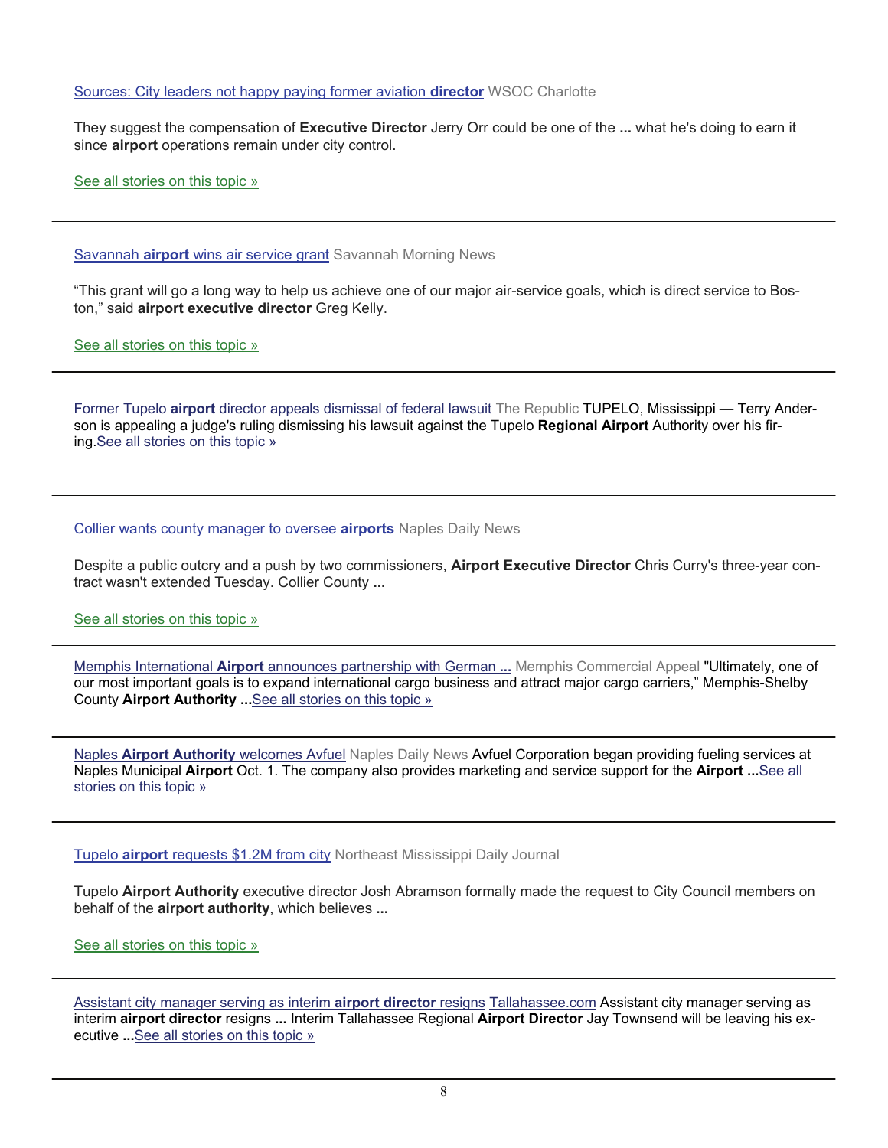[Sources: City leaders not happy paying former aviation](http://www.google.com/url?q=http://www.wsoctv.com/news/news/local/sources-city-leaders-not-happy-paying-former-aviat/nZ892/&ct=ga&cd=MTU0Njg0NzQ2Njg4NzYzMTA0NDQ&cad=CAEYAQ&usg=AFQjCNEGypUM7sf9ZvA8P6TH-I-3JQhfYQ) **director** WSOC Charlotte

They suggest the compensation of **Executive Director** Jerry Orr could be one of the **...** what he's doing to earn it since **airport** operations remain under city control.

[See all stories on this topic »](http://www.google.com/url?q=http://news.google.com/news/story%3Fncl%3Dhttp://www.wsoctv.com/news/news/local/sources-city-leaders-not-happy-paying-former-aviat/nZ892/%26hl%3Den%26geo%3DUS&ct=ga&cd=MTU0Njg0NzQ2Njg4NzYzMTA0NDQ&cad=CAEYAQ&usg=AFQjCNHe8wRMTWYurcJPjz4k6xJcEgcqAw)

Savannah **airport** [wins air service grant](http://www.google.com/url?q=http://savannahnow.com/exchange/2013-09-28/savannah-airport-wins-air-service-grant&ct=ga&cd=MTUyMTQ5NjY5OTU3NzQ4OTA5OTE&cad=CAEYAA&usg=AFQjCNFKf2jVIk8RRNKpVhDXcFfOqIS0Ow) Savannah Morning News

"This grant will go a long way to help us achieve one of our major air-service goals, which is direct service to Boston," said **airport executive director** Greg Kelly.

[See all stories on this topic »](http://www.google.com/url?q=http://news.google.com/news/story%3Fncl%3Dhttp://savannahnow.com/exchange/2013-09-28/savannah-airport-wins-air-service-grant%26hl%3Den%26geo%3DUS&ct=ga&cd=MTUyMTQ5NjY5OTU3NzQ4OTA5OTE&cad=CAEYAA&usg=AFQjCNHZARLe2NoPsB8VIbG_H-vgx3LAZw)

Former Tupelo **airport** [director appeals dismissal of federal lawsuit](http://www.google.com/url?q=http://www.therepublic.com/view/story/d258400f720e4b248038b84a7585575e/MS--Tupelo-Airport-Lawsuit&ct=ga&cd=NTA0NzQ1OTg0NDY5MTI2ODI1&cad=CAEYAg&usg=AFQjCNGrxhOJhNXx_dz9rOwwDB63VvJYfw) The Republic TUPELO, Mississippi — Terry Anderson is appealing a judge's ruling dismissing his lawsuit against the Tupelo **Regional Airport** Authority over his firing.[See all stories on this topic »](http://www.google.com/url?q=http://news.google.com/news/story%3Fncl%3Dhttp://www.therepublic.com/view/story/d258400f720e4b248038b84a7585575e/MS--Tupelo-Airport-Lawsuit%26hl%3Den%26geo%3DUS&ct=ga&cd=NTA0NzQ1OTg0NDY5MTI2ODI1&cad=CAEYAg&usg=AFQjCNFhVDXJiMt0WgIlNX1eLTmLshrC9A) 

[Collier wants county manager to oversee](http://www.google.com/url?q=http://www.naplesnews.com/news/2013/sep/24/collier-wants-county-manager-to-oversee-airports/&ct=ga&cd=MTE2MzQzNTU1MjA4Mjk0MjI2NzY&cad=CAEYAA&usg=AFQjCNGFoB4aMU6MtGwcOeg9V6oK964Fqg) **airports** Naples Daily News

Despite a public outcry and a push by two commissioners, **Airport Executive Director** Chris Curry's three-year contract wasn't extended Tuesday. Collier County **...**

[See all stories on this topic »](http://www.google.com/url?q=http://news.google.com/news/story%3Fncl%3Dhttp://www.naplesnews.com/news/2013/sep/24/collier-wants-county-manager-to-oversee-airports/%26hl%3Den%26geo%3DUS&ct=ga&cd=MTE2MzQzNTU1MjA4Mjk0MjI2NzY&cad=CAEYAA&usg=AFQjCNFBrhusoqoSFXs6vMQBIRn-MyK4Aw)

Memphis International **Airport** [announces partnership with German](http://www.google.com/url?q=http://www.commercialappeal.com/news/2013/sep/30/memphis-international-airport-announces-partnershi/&ct=ga&cd=MTY0NTEwMjEwODk3MDI1ODI4Njk&cad=CAEYAQ&usg=AFQjCNH9uxM9MGK-4fBUmoPzb_emGgF-9Q) **...** Memphis Commercial Appeal "Ultimately, one of our most important goals is to expand international cargo business and attract major cargo carriers," Memphis-Shelby County **Airport Authority ...**[See all stories on this topic »](http://www.google.com/url?q=http://news.google.com/news/story%3Fncl%3Dhttp://www.commercialappeal.com/news/2013/sep/30/memphis-international-airport-announces-partnershi/%26hl%3Den%26geo%3DUS&ct=ga&cd=MTY0NTEwMjEwODk3MDI1ODI4Njk&cad=CAEYAQ&usg=AFQjCNH5KkuIoHWA6MJfyxlgviulsKSwJw) 

Naples **[Airport Authority](http://www.google.com/url?q=http://www.naplesnews.com/news/2013/oct/01/naples-airport-authority-welcomes-avfuel-10798/&ct=ga&cd=MTY0NTEwMjEwODk3MDI1ODI4Njk&cad=CAEYAA&usg=AFQjCNEy8i0qBfVGeP1HsDi6MPo3FKPJ_Q)** welcomes Avfuel Naples Daily News Avfuel Corporation began providing fueling services at Naples Municipal **Airport** Oct. 1. The company also provides marketing and service support for the **Airport ...**[See all](http://www.google.com/url?q=http://news.google.com/news/story%3Fncl%3Dhttp://www.naplesnews.com/news/2013/oct/01/naples-airport-authority-welcomes-avfuel-10798/%26hl%3Den%26geo%3DUS&ct=ga&cd=MTY0NTEwMjEwODk3MDI1ODI4Njk&cad=CAEYAA&usg=AFQjCNH9PcFMXix1LGIcTH3OyUSKEydFlw)  [stories on this topic »](http://www.google.com/url?q=http://news.google.com/news/story%3Fncl%3Dhttp://www.naplesnews.com/news/2013/oct/01/naples-airport-authority-welcomes-avfuel-10798/%26hl%3Den%26geo%3DUS&ct=ga&cd=MTY0NTEwMjEwODk3MDI1ODI4Njk&cad=CAEYAA&usg=AFQjCNH9PcFMXix1LGIcTH3OyUSKEydFlw) 

Tupelo **airport** [requests \\$1.2M from city](http://www.google.com/url?q=http://djournal.com/news/tupelo-airport-requests-1-2m-city/&ct=ga&cd=ODAwMDg2Nzk1NTU4MzYxNTE1NQ&cad=CAEYAA&usg=AFQjCNEtjfzR2fJh-pgzirHl15sZP6AugQ) Northeast Mississippi Daily Journal

Tupelo **Airport Authority** executive director Josh Abramson formally made the request to City Council members on behalf of the **airport authority**, which believes **...**

[See all stories on this topic »](http://www.google.com/url?q=http://news.google.com/news/story%3Fncl%3Dhttp://djournal.com/news/tupelo-airport-requests-1-2m-city/%26hl%3Den%26geo%3DUS&ct=ga&cd=ODAwMDg2Nzk1NTU4MzYxNTE1NQ&cad=CAEYAA&usg=AFQjCNHCT1qiPG4EluN09rLxl1F6rZ3GSg)

[Assistant city manager serving as interim](http://www.google.com/url?q=http://www.tallahassee.com/article/20130930/POLITICSPOLICY/130930011/Assistant-city-manager-serving-as-interim-airport-director-resigns&ct=ga&cd=MTE1OTg5MDE2Njk3MDc4MjcyNjU&cad=CAEYAg&usg=AFQjCNHRLOCMowcFIVr3trSLtuRrCKYEGQ) **airport director** resigns [Tallahassee.com](http://Tallahassee.com) Assistant city manager serving as interim **airport director** resigns **...** Interim Tallahassee Regional **Airport Director** Jay Townsend will be leaving his executive **...**[See all stories on this topic »](http://www.google.com/url?q=http://news.google.com/news/story%3Fncl%3Dhttp://www.tallahassee.com/article/20130930/POLITICSPOLICY/130930011/Assistant-city-manager-serving-as-interim-airport-director-resigns%26hl%3Den%26geo%3DUS&ct=ga&cd=MTE1OTg5MDE2Njk3MDc4MjcyNjU&cad=CAEYAg&usg=AFQjCNGDbpAuA5DTfL2E0WI8A63GDTZJFQ)